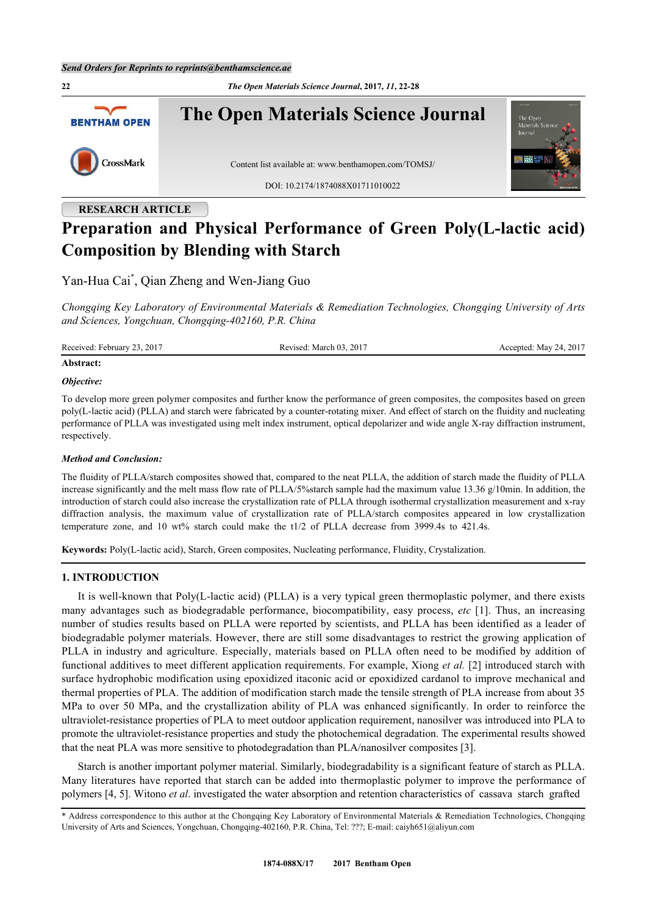**22** *The Open Materials Science Journal***, 2017,** *11***, 22-28 The Open Materials Science Journal BENTHAM OPEN** CrossMark Content list available at: [www.benthamopen.com/TOMSJ/](http://www.benthamopen.com/TOMSJ/) DOI: [10.2174/1874088X01711010022](http://dx.doi.org/10.2174/1874088X01711010022)

# **RESEARCH ARTICLE Preparation and Physical Performance of Green Poly(L-lactic acid) Composition by Blending with Starch**

Yan-Hua Cai[\\*](#page-0-0) , Qian Zheng and Wen-Jiang Guo

*Chongqing Key Laboratory of Environmental Materials & Remediation Technologies, Chongqing University of Arts and Sciences, Yongchuan, Chongqing-402160, P.R. China*

Received: February 23, 2017 Revised: March 03, 2017 Revised: March 03, 2017 Accepted: May 24, 2017

#### **Abstract:**

#### *Objective:*

To develop more green polymer composites and further know the performance of green composites, the composites based on green poly(L-lactic acid) (PLLA) and starch were fabricated by a counter-rotating mixer. And effect of starch on the fluidity and nucleating performance of PLLA was investigated using melt index instrument, optical depolarizer and wide angle X-ray diffraction instrument, respectively.

## *Method and Conclusion:*

The fluidity of PLLA/starch composites showed that, compared to the neat PLLA, the addition of starch made the fluidity of PLLA increase significantly and the melt mass flow rate of PLLA/5%starch sample had the maximum value 13.36 g/10min. In addition, the introduction of starch could also increase the crystallization rate of PLLA through isothermal crystallization measurement and x-ray diffraction analysis, the maximum value of crystallization rate of PLLA/starch composites appeared in low crystallization temperature zone, and 10 wt% starch could make the t1/2 of PLLA decrease from 3999.4s to 421.4s.

**Keywords:** Poly(L-lactic acid), Starch, Green composites, Nucleating performance, Fluidity, Crystalization.

## **1. INTRODUCTION**

It is well-known that Poly(L-lactic acid) (PLLA) is a very typical green thermoplastic polymer, and there exists many advantages such as biodegradable performance, biocompatibility, easy process, *etc* [[1](#page-5-0)]. Thus, an increasing number of studies results based on PLLA were reported by scientists, and PLLA has been identified as a leader of biodegradable polymer materials. However, there are still some disadvantages to restrict the growing application of PLLA in industry and agriculture. Especially, materials based on PLLA often need to be modified by addition of functional additives to meet different application requirements. For example, Xiong *et al.* [[2\]](#page-5-1) introduced starch with surface hydrophobic modification using epoxidized itaconic acid or epoxidized cardanol to improve mechanical and thermal properties of PLA. The addition of modification starch made the tensile strength of PLA increase from about 35 MPa to over 50 MPa, and the crystallization ability of PLA was enhanced significantly. In order to reinforce the ultraviolet-resistance properties of PLA to meet outdoor application requirement, nanosilver was introduced into PLA to promote the ultraviolet-resistance properties and study the photochemical degradation. The experimental results showed that the neat PLA was more sensitive to photodegradation than PLA/nanosilver composites [\[3](#page-5-2)].

Starch is another important polymer material. Similarly, biodegradability is a significant feature of starch as PLLA. Many literatures have reported that starch can be added into thermoplastic polymer to improve the performance of polymers [[4,](#page-5-3) [5\]](#page-5-4). Witono *et al*. investigated the water absorption and retention characteristics of cassava starch grafted

<span id="page-0-0"></span><sup>\*</sup> Address correspondence to this author at the Chongqing Key Laboratory of Environmental Materials & Remediation Technologies, Chongqing University of Arts and Sciences, Yongchuan, Chongqing-402160, P.R. China, Tel: ???; E-mail: [caiyh651@aliyun.com](mailto:caiyh651@aliyun.com)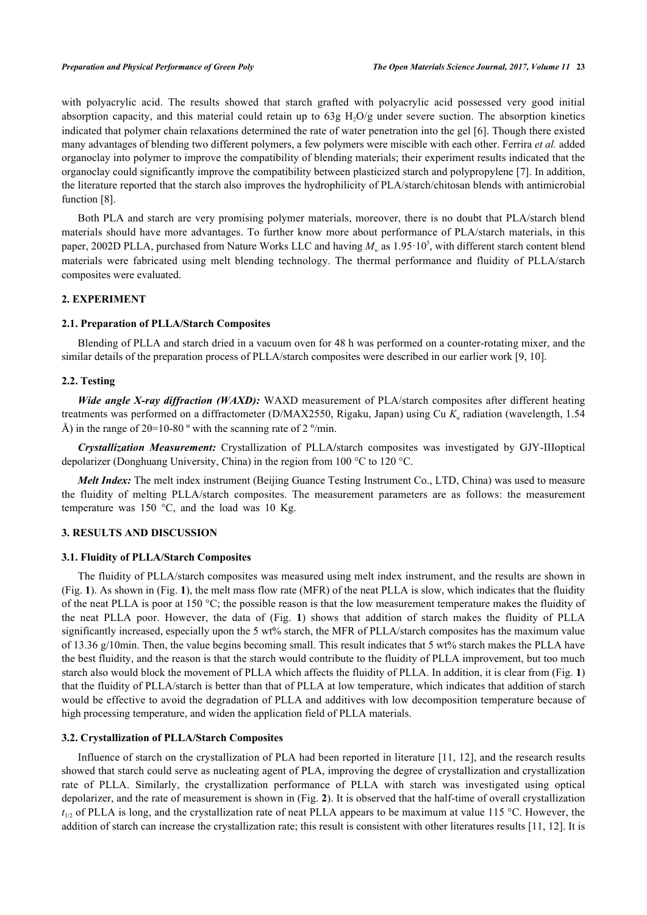with polyacrylic acid. The results showed that starch grafted with polyacrylic acid possessed very good initial absorption capacity, and this material could retain up to  $63g H<sub>2</sub>O/g$  under severe suction. The absorption kinetics indicated that polymer chain relaxations determined the rate of water penetration into the gel [\[6](#page-5-5)]. Though there existed many advantages of blending two different polymers, a few polymers were miscible with each other. Ferrira *et al.* added organoclay into polymer to improve the compatibility of blending materials; their experiment results indicated that the organoclay could significantly improve the compatibility between plasticized starch and polypropylene [[7\]](#page-5-6). In addition, the literature reported that the starch also improves the hydrophilicity of PLA/starch/chitosan blends with antimicrobial function [[8\]](#page-5-7).

Both PLA and starch are very promising polymer materials, moreover, there is no doubt that PLA/starch blend materials should have more advantages. To further know more about performance of PLA/starch materials, in this paper, 2002D PLLA, purchased from Nature Works LLC and having  $M_w$  as  $1.95 \cdot 10^5$ , with different starch content blend materials were fabricated using melt blending technology. The thermal performance and fluidity of PLLA/starch composites were evaluated.

#### **2. EXPERIMENT**

## **2.1. Preparation of PLLA/Starch Composites**

Blending of PLLA and starch dried in a vacuum oven for 48 h was performed on a counter-rotating mixer, and the similar details of the preparation process of PLLA/starch composites were described in our earlier work [\[9](#page-5-8), [10](#page-5-9)].

## **2.2. Testing**

*Wide angle X-ray diffraction (WAXD):* WAXD measurement of PLA/starch composites after different heating treatments was performed on a diffractometer (D/MAX2550, Rigaku, Japan) using Cu  $K_a$  radiation (wavelength, 1.54 Å) in the range of  $2\theta=10-80$  ° with the scanning rate of  $2 \degree$ /min.

*Crystallization Measurement:* Crystallization of PLLA**/**starch composites was investigated by GJY-IIIoptical depolarizer (Donghuang University, China) in the region from 100 °C to 120 °C.

*Melt Index:* The melt index instrument (Beijing Guance Testing Instrument Co., LTD, China) was used to measure the fluidity of melting PLLA/starch composites. The measurement parameters are as follows: the measurement temperature was 150 °C, and the load was 10 Kg.

# **3. RESULTS AND DISCUSSION**

#### **3.1. Fluidity of PLLA/Starch Composites**

The fluidity of PLLA/starch composites was measured using melt index instrument, and the results are shown in (Fig. **[1](#page-2-0)**). As shown in (Fig. **[1](#page-2-0)**), the melt mass flow rate (MFR) of the neat PLLA is slow, which indicates that the fluidity of the neat PLLA is poor at 150 °C; the possible reason is that the low measurement temperature makes the fluidity of the neat PLLA poor. However, the data of (Fig.**1**) shows that addition of starch makes the fluidity of PLLA significantly increased, especially upon the 5 wt% starch, the MFR of PLLA/starch composites has the maximum value of 13.36 g/10min. Then, the value begins becoming small. This result indicates that 5 wt% starch makes the PLLA have the best fluidity, and the reason is that the starch would contribute to the fluidity of PLLA improvement, but too much starch also would block the movement of PLLA which affects the fluidity of PLLA. In addition, it is clear from (Fig. **[1](#page-2-0)**) that the fluidity of PLLA/starch is better than that of PLLA at low temperature, which indicates that addition of starch would be effective to avoid the degradation of PLLA and additives with low decomposition temperature because of high processing temperature, and widen the application field of PLLA materials.

#### **3.2. Crystallization of PLLA/Starch Composites**

Influence of starch on the crystallization of PLA had been reported in literature [[11,](#page-5-10) [12\]](#page-5-11), and the research results showed that starch could serve as nucleating agent of PLA, improving the degree of crystallization and crystallization rate of PLLA. Similarly, the crystallization performance of PLLA with starch was investigated using optical depolarizer, and the rate of measurement is shown in (Fig. **[2](#page-2-1)**). It is observed that the half-time of overall crystallization  $t_{1/2}$  of PLLA is long, and the crystallization rate of neat PLLA appears to be maximum at value 115 °C. However, the addition of starch can increase the crystallization rate; this result is consistent with other literatures results [[11,](#page-5-10) [12\]](#page-5-11). It is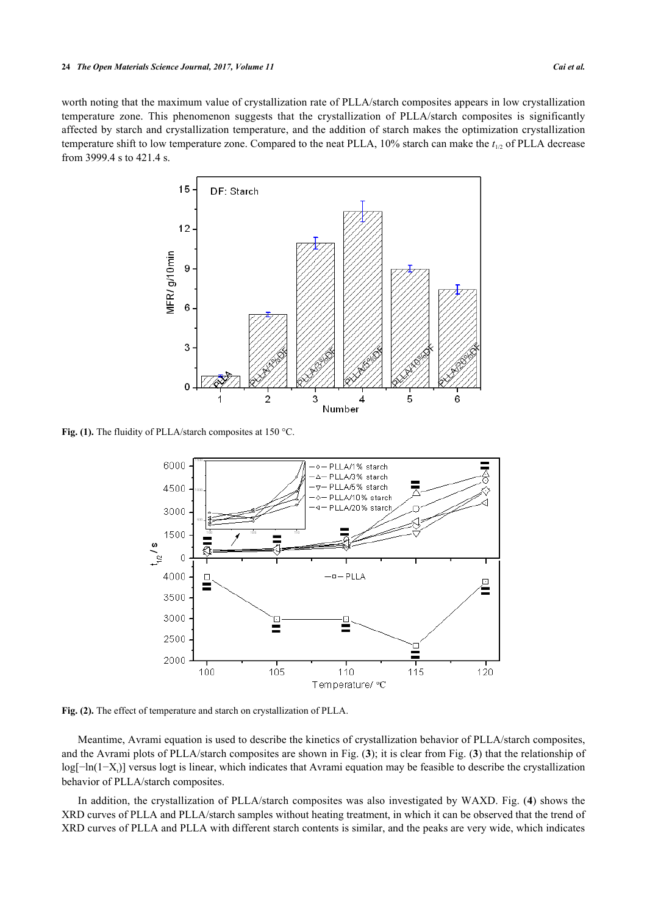<span id="page-2-0"></span>worth noting that the maximum value of crystallization rate of PLLA/starch composites appears in low crystallization temperature zone. This phenomenon suggests that the crystallization of PLLA/starch composites is significantly affected by starch and crystallization temperature, and the addition of starch makes the optimization crystallization temperature shift to low temperature zone. Compared to the neat PLLA, 10% starch can make the *t*1/2 of PLLA decrease from 3999.4 s to 421.4 s.



<span id="page-2-1"></span>Fig. (1). The fluidity of PLLA/starch composites at 150 °C.



**Fig. (2).** The effect of temperature and starch on crystallization of PLLA.

Meantime, Avrami equation is used to describe the kinetics of crystallization behavior of PLLA/starch composites, and the Avrami plots of PLLA/starch composites are shown in Fig. (**[3](#page-3-0)**); it is clear from Fig. (**[3](#page-3-0)**) that the relationship of log[-ln(1-X<sub>t</sub>)] versus logt is linear, which indicates that Avrami equation may be feasible to describe the crystallization behavior of PLLA/starch composites.

In addition, the crystallization of PLLA/starch composites was also investigated by WAXD. Fig. (**[4](#page-3-1)**) shows the XRD curves of PLLA and PLLA/starch samples without heating treatment, in which it can be observed that the trend of XRD curves of PLLA and PLLA with different starch contents is similar, and the peaks are very wide, which indicates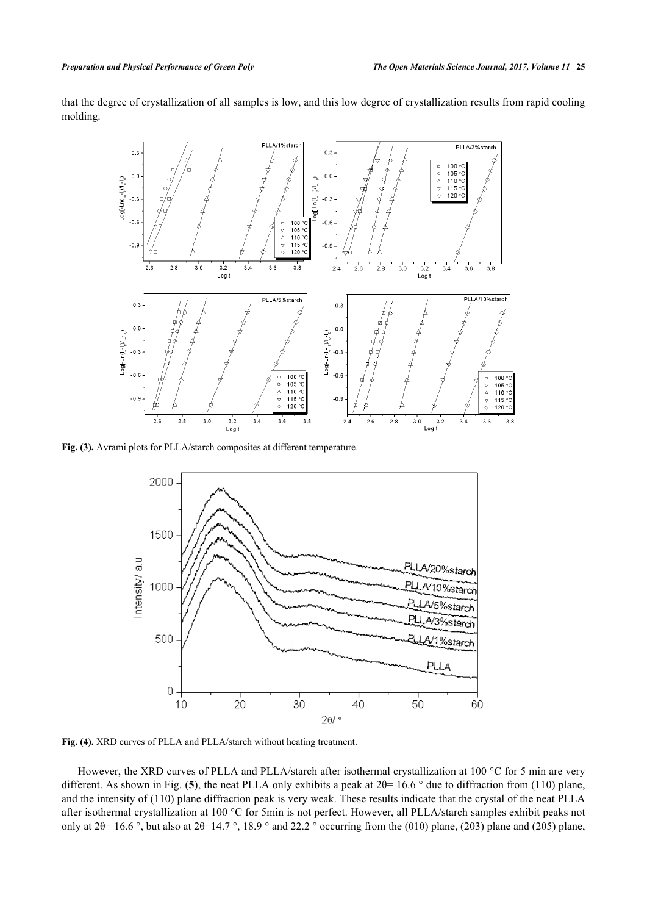

<span id="page-3-0"></span>that the degree of crystallization of all samples is low, and this low degree of crystallization results from rapid cooling molding.

<span id="page-3-1"></span>**Fig. (3).** Avrami plots for PLLA/starch composites at different temperature.



**Fig. (4).** XRD curves of PLLA and PLLA/starch without heating treatment.

However, the XRD curves of PLLA and PLLA/starch after isothermal crystallization at 100 °C for 5 min are very different. As shown in Fig. (**[5](#page-4-0)**), the neat PLLA only exhibits a peak at 2θ= 16.6 ° due to diffraction from (110) plane, and the intensity of (110) plane diffraction peak is very weak. These results indicate that the crystal of the neat PLLA after isothermal crystallization at 100 °C for 5min is not perfect. However, all PLLA/starch samples exhibit peaks not only at  $2\theta$ = 16.6 °, but also at  $2\theta$ =14.7 °, 18.9 ° and 22.2 ° occurring from the (010) plane, (203) plane and (205) plane,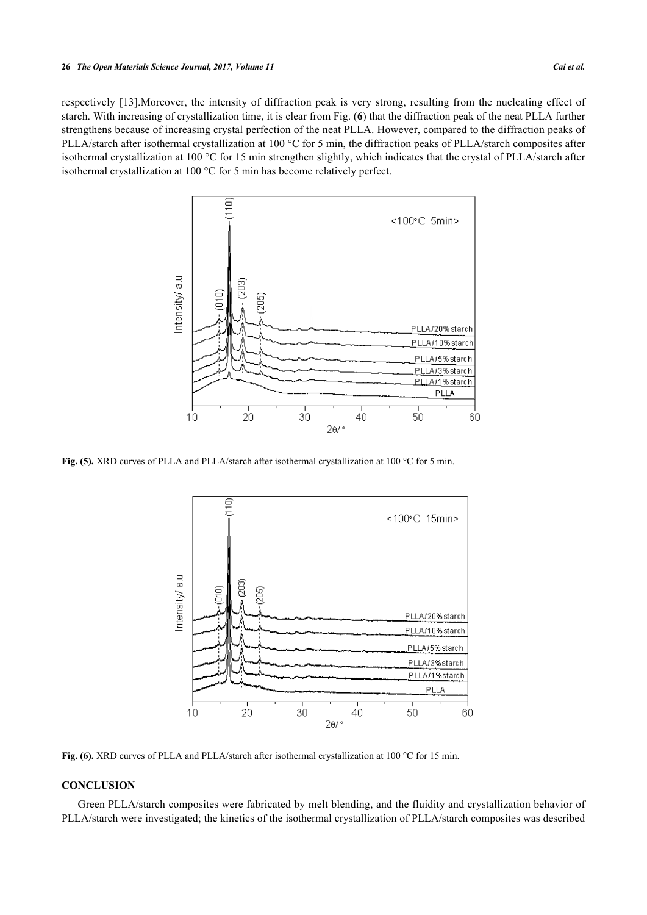<span id="page-4-0"></span>respectively [\[13\]](#page-6-0).Moreover, the intensity of diffraction peak is very strong, resulting from the nucleating effect of starch. With increasing of crystallization time, it is clear from Fig. (**[6](#page-4-1)**) that the diffraction peak of the neat PLLA further strengthens because of increasing crystal perfection of the neat PLLA. However, compared to the diffraction peaks of PLLA/starch after isothermal crystallization at 100 °C for 5 min, the diffraction peaks of PLLA/starch composites after isothermal crystallization at 100 °C for 15 min strengthen slightly, which indicates that the crystal of PLLA/starch after isothermal crystallization at 100 °C for 5 min has become relatively perfect.



<span id="page-4-1"></span>Fig. (5). XRD curves of PLLA and PLLA/starch after isothermal crystallization at 100 °C for 5 min.



**Fig. (6).** XRD curves of PLLA and PLLA/starch after isothermal crystallization at 100 °C for 15 min.

# **CONCLUSION**

Green PLLA/starch composites were fabricated by melt blending, and the fluidity and crystallization behavior of PLLA/starch were investigated; the kinetics of the isothermal crystallization of PLLA/starch composites was described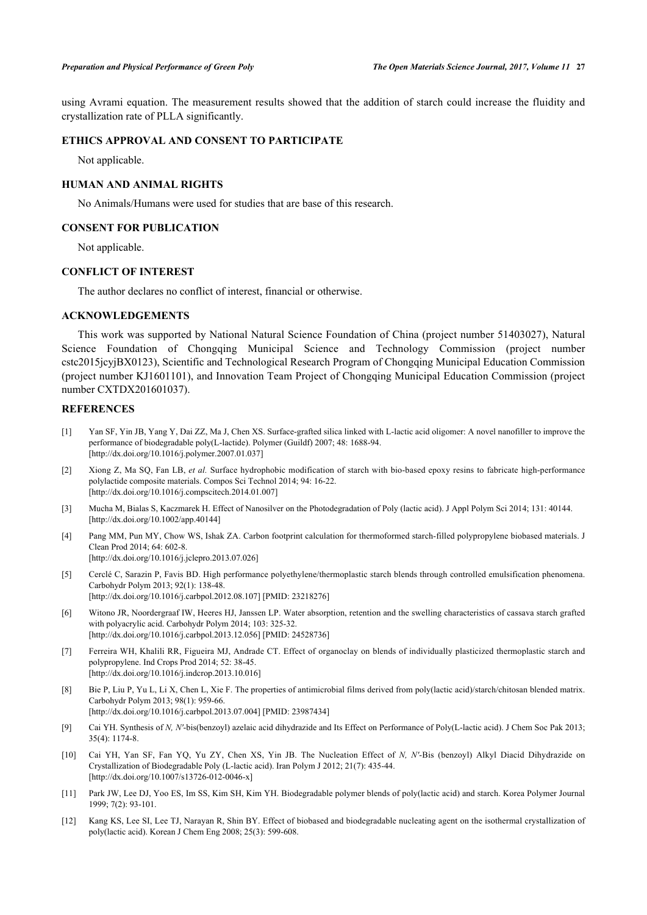using Avrami equation. The measurement results showed that the addition of starch could increase the fluidity and crystallization rate of PLLA significantly.

# **ETHICS APPROVAL AND CONSENT TO PARTICIPATE**

Not applicable.

# **HUMAN AND ANIMAL RIGHTS**

No Animals/Humans were used for studies that are base of this research.

#### **CONSENT FOR PUBLICATION**

Not applicable.

# **CONFLICT OF INTEREST**

The author declares no conflict of interest, financial or otherwise.

## **ACKNOWLEDGEMENTS**

This work was supported by National Natural Science Foundation of China (project number 51403027), Natural Science Foundation of Chongqing Municipal Science and Technology Commission (project number cstc2015jcyjBX0123), Scientific and Technological Research Program of Chongqing Municipal Education Commission (project number KJ1601101), and Innovation Team Project of Chongqing Municipal Education Commission (project number CXTDX201601037).

# **REFERENCES**

- <span id="page-5-0"></span>[1] Yan SF, Yin JB, Yang Y, Dai ZZ, Ma J, Chen XS. Surface-grafted silica linked with L-lactic acid oligomer: A novel nanofiller to improve the performance of biodegradable poly(L-lactide). Polymer (Guildf) 2007; 48: 1688-94. [\[http://dx.doi.org/10.1016/j.polymer.2007.01.037\]](http://dx.doi.org/10.1016/j.polymer.2007.01.037)
- <span id="page-5-1"></span>[2] Xiong Z, Ma SQ, Fan LB, *et al.* Surface hydrophobic modification of starch with bio-based epoxy resins to fabricate high-performance polylactide composite materials. Compos Sci Technol 2014; 94: 16-22. [\[http://dx.doi.org/10.1016/j.compscitech.2014.01.007](http://dx.doi.org/10.1016/j.compscitech.2014.01.007)]
- <span id="page-5-2"></span>[3] Mucha M, Bialas S, Kaczmarek H. Effect of Nanosilver on the Photodegradation of Poly (lactic acid). J Appl Polym Sci 2014; 131: 40144. [\[http://dx.doi.org/10.1002/app.40144](http://dx.doi.org/10.1002/app.40144)]
- <span id="page-5-3"></span>[4] Pang MM, Pun MY, Chow WS, Ishak ZA. Carbon footprint calculation for thermoformed starch-filled polypropylene biobased materials. J Clean Prod 2014; 64: 602-8. [\[http://dx.doi.org/10.1016/j.jclepro.2013.07.026](http://dx.doi.org/10.1016/j.jclepro.2013.07.026)]
- <span id="page-5-4"></span>[5] Cerclé C, Sarazin P, Favis BD. High performance polyethylene/thermoplastic starch blends through controlled emulsification phenomena. Carbohydr Polym 2013; 92(1): 138-48. [\[http://dx.doi.org/10.1016/j.carbpol.2012.08.107](http://dx.doi.org/10.1016/j.carbpol.2012.08.107)] [PMID: [23218276\]](http://www.ncbi.nlm.nih.gov/pubmed/23218276)
- <span id="page-5-5"></span>[6] Witono JR, Noordergraaf IW, Heeres HJ, Janssen LP. Water absorption, retention and the swelling characteristics of cassava starch grafted with polyacrylic acid. Carbohydr Polym 2014; 103: 325-32. [\[http://dx.doi.org/10.1016/j.carbpol.2013.12.056](http://dx.doi.org/10.1016/j.carbpol.2013.12.056)] [PMID: [24528736\]](http://www.ncbi.nlm.nih.gov/pubmed/24528736)
- <span id="page-5-6"></span>[7] Ferreira WH, Khalili RR, Figueira MJ, Andrade CT. Effect of organoclay on blends of individually plasticized thermoplastic starch and polypropylene. Ind Crops Prod 2014; 52: 38-45. [\[http://dx.doi.org/10.1016/j.indcrop.2013.10.016](http://dx.doi.org/10.1016/j.indcrop.2013.10.016)]
- <span id="page-5-7"></span>[8] Bie P, Liu P, Yu L, Li X, Chen L, Xie F. The properties of antimicrobial films derived from poly(lactic acid)/starch/chitosan blended matrix. Carbohydr Polym 2013; 98(1): 959-66. [\[http://dx.doi.org/10.1016/j.carbpol.2013.07.004](http://dx.doi.org/10.1016/j.carbpol.2013.07.004)] [PMID: [23987434\]](http://www.ncbi.nlm.nih.gov/pubmed/23987434)
- <span id="page-5-8"></span>[9] Cai YH. Synthesis of *N, N'*-bis(benzoyl) azelaic acid dihydrazide and Its Effect on Performance of Poly(L-lactic acid). J Chem Soc Pak 2013; 35(4): 1174-8.
- <span id="page-5-9"></span>[10] Cai YH, Yan SF, Fan YQ, Yu ZY, Chen XS, Yin JB. The Nucleation Effect of *N, N′*-Bis (benzoyl) Alkyl Diacid Dihydrazide on Crystallization of Biodegradable Poly (L-lactic acid). Iran Polym J 2012; 21(7): 435-44. [\[http://dx.doi.org/10.1007/s13726-012-0046-x\]](http://dx.doi.org/10.1007/s13726-012-0046-x)
- <span id="page-5-10"></span>[11] Park JW, Lee DJ, Yoo ES, Im SS, Kim SH, Kim YH. Biodegradable polymer blends of poly(lactic acid) and starch. Korea Polymer Journal 1999; 7(2): 93-101.
- <span id="page-5-11"></span>[12] Kang KS, Lee SI, Lee TJ, Narayan R, Shin BY. Effect of biobased and biodegradable nucleating agent on the isothermal crystallization of poly(lactic acid). Korean J Chem Eng 2008; 25(3): 599-608.